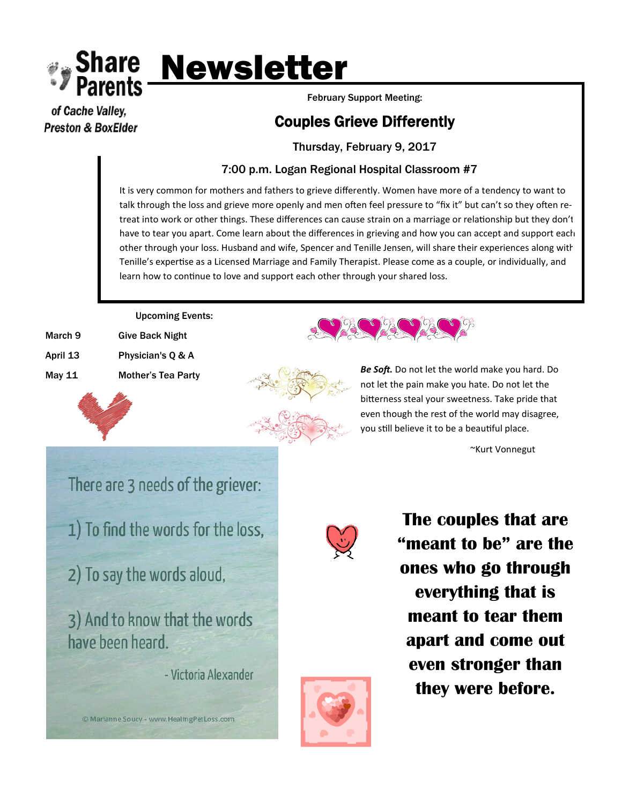

of Cache Valley, **Preston & BoxElder**  February Support Meeting:

## Couples Grieve Differently

Thursday, February 9, 2017

## 7:00 p.m. Logan Regional Hospital Classroom #7

It is very common for mothers and fathers to grieve differently. Women have more of a tendency to want to talk through the loss and grieve more openly and men often feel pressure to "fix it" but can't so they often retreat into work or other things. These differences can cause strain on a marriage or relationship but they don't have to tear you apart. Come learn about the differences in grieving and how you can accept and support each other through your loss. Husband and wife, Spencer and Tenille Jensen, will share their experiences along with Tenille's expertise as a Licensed Marriage and Family Therapist. Please come as a couple, or individually, and learn how to continue to love and support each other through your shared loss.

Upcoming Events:

- March 9 Give Back Night
- 
- 
- 
- April 13 Physician's Q & A May 11 Mother's Tea Party



*Be Soft.* Do not let the world make you hard. Do not let the pain make you hate. Do not let the bitterness steal your sweetness. Take pride that even though the rest of the world may disagree, you still believe it to be a beautiful place.

~Kurt Vonnegut

There are 3 needs of the griever:

- 1) To find the words for the loss,
- 2) To say the words aloud,
- 3) And to know that the words have been heard.

© Marianne Soucy - www.HealingPetLoss.com

- Victoria Alexander



**The couples that are "meant to be" are the ones who go through everything that is meant to tear them apart and come out even stronger than they were before.**